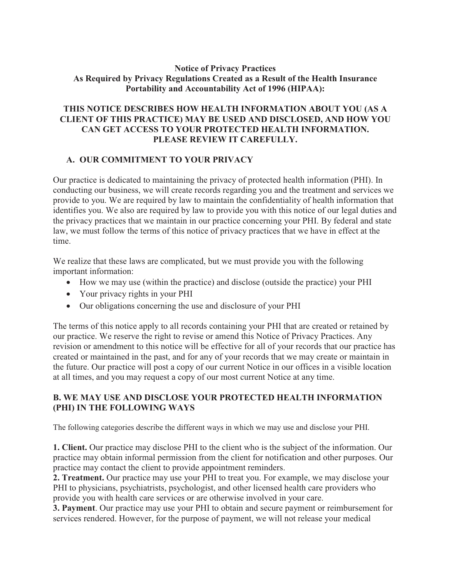#### **Notice of Privacy Practices As Required by Privacy Regulations Created as a Result of the Health Insurance Portability and Accountability Act of 1996 (HIPAA):**

### **THIS NOTICE DESCRIBES HOW HEALTH INFORMATION ABOUT YOU (AS A CLIENT OF THIS PRACTICE) MAY BE USED AND DISCLOSED, AND HOW YOU CAN GET ACCESS TO YOUR PROTECTED HEALTH INFORMATION. PLEASE REVIEW IT CAREFULLY.**

#### **A. OUR COMMITMENT TO YOUR PRIVACY**

Our practice is dedicated to maintaining the privacy of protected health information (PHI). In conducting our business, we will create records regarding you and the treatment and services we provide to you. We are required by law to maintain the confidentiality of health information that identifies you. We also are required by law to provide you with this notice of our legal duties and the privacy practices that we maintain in our practice concerning your PHI. By federal and state law, we must follow the terms of this notice of privacy practices that we have in effect at the time.

We realize that these laws are complicated, but we must provide you with the following important information:

- · How we may use (within the practice) and disclose (outside the practice) your PHI
- Your privacy rights in your PHI
- · Our obligations concerning the use and disclosure of your PHI

The terms of this notice apply to all records containing your PHI that are created or retained by our practice. We reserve the right to revise or amend this Notice of Privacy Practices. Any revision or amendment to this notice will be effective for all of your records that our practice has created or maintained in the past, and for any of your records that we may create or maintain in the future. Our practice will post a copy of our current Notice in our offices in a visible location at all times, and you may request a copy of our most current Notice at any time.

#### **B. WE MAY USE AND DISCLOSE YOUR PROTECTED HEALTH INFORMATION (PHI) IN THE FOLLOWING WAYS**

The following categories describe the different ways in which we may use and disclose your PHI.

**1. Client.** Our practice may disclose PHI to the client who is the subject of the information. Our practice may obtain informal permission from the client for notification and other purposes. Our practice may contact the client to provide appointment reminders.

**2. Treatment.** Our practice may use your PHI to treat you. For example, we may disclose your PHI to physicians, psychiatrists, psychologist, and other licensed health care providers who provide you with health care services or are otherwise involved in your care.

**3. Payment**. Our practice may use your PHI to obtain and secure payment or reimbursement for services rendered. However, for the purpose of payment, we will not release your medical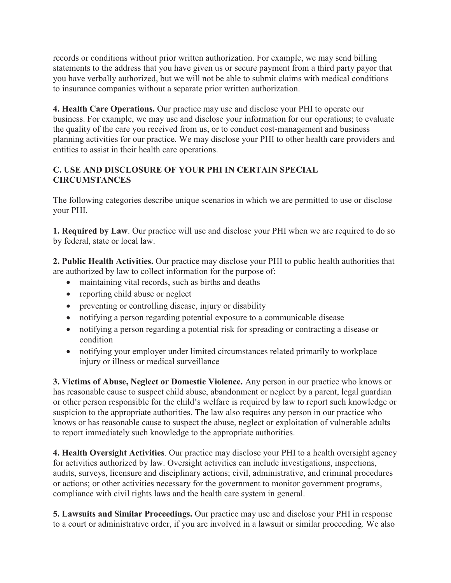records or conditions without prior written authorization. For example, we may send billing statements to the address that you have given us or secure payment from a third party payor that you have verbally authorized, but we will not be able to submit claims with medical conditions to insurance companies without a separate prior written authorization.

**4. Health Care Operations.** Our practice may use and disclose your PHI to operate our business. For example, we may use and disclose your information for our operations; to evaluate the quality of the care you received from us, or to conduct cost-management and business planning activities for our practice. We may disclose your PHI to other health care providers and entities to assist in their health care operations.

## **C. USE AND DISCLOSURE OF YOUR PHI IN CERTAIN SPECIAL CIRCUMSTANCES**

The following categories describe unique scenarios in which we are permitted to use or disclose your PHI.

**1. Required by Law**. Our practice will use and disclose your PHI when we are required to do so by federal, state or local law.

**2. Public Health Activities.** Our practice may disclose your PHI to public health authorities that are authorized by law to collect information for the purpose of:

- maintaining vital records, such as births and deaths
- reporting child abuse or neglect
- preventing or controlling disease, injury or disability
- · notifying a person regarding potential exposure to a communicable disease
- · notifying a person regarding a potential risk for spreading or contracting a disease or condition
- · notifying your employer under limited circumstances related primarily to workplace injury or illness or medical surveillance

**3. Victims of Abuse, Neglect or Domestic Violence.** Any person in our practice who knows or has reasonable cause to suspect child abuse, abandonment or neglect by a parent, legal guardian or other person responsible for the child's welfare is required by law to report such knowledge or suspicion to the appropriate authorities. The law also requires any person in our practice who knows or has reasonable cause to suspect the abuse, neglect or exploitation of vulnerable adults to report immediately such knowledge to the appropriate authorities.

**4. Health Oversight Activities**. Our practice may disclose your PHI to a health oversight agency for activities authorized by law. Oversight activities can include investigations, inspections, audits, surveys, licensure and disciplinary actions; civil, administrative, and criminal procedures or actions; or other activities necessary for the government to monitor government programs, compliance with civil rights laws and the health care system in general.

**5. Lawsuits and Similar Proceedings.** Our practice may use and disclose your PHI in response to a court or administrative order, if you are involved in a lawsuit or similar proceeding. We also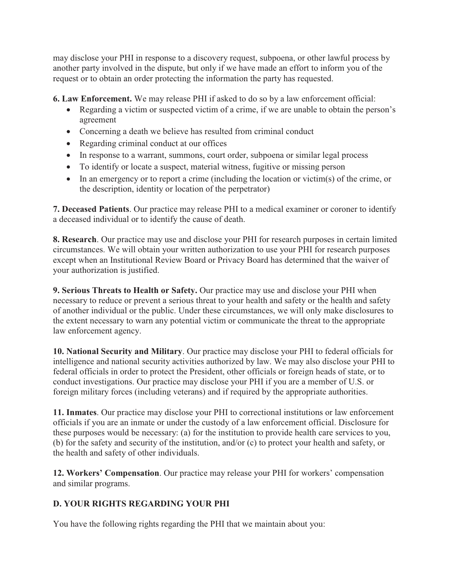may disclose your PHI in response to a discovery request, subpoena, or other lawful process by another party involved in the dispute, but only if we have made an effort to inform you of the request or to obtain an order protecting the information the party has requested.

**6. Law Enforcement.** We may release PHI if asked to do so by a law enforcement official:

- · Regarding a victim or suspected victim of a crime, if we are unable to obtain the person's agreement
- Concerning a death we believe has resulted from criminal conduct
- Regarding criminal conduct at our offices
- · In response to a warrant, summons, court order, subpoena or similar legal process
- · To identify or locate a suspect, material witness, fugitive or missing person
- · In an emergency or to report a crime (including the location or victim(s) of the crime, or the description, identity or location of the perpetrator)

**7. Deceased Patients**. Our practice may release PHI to a medical examiner or coroner to identify a deceased individual or to identify the cause of death.

**8. Research**. Our practice may use and disclose your PHI for research purposes in certain limited circumstances. We will obtain your written authorization to use your PHI for research purposes except when an Institutional Review Board or Privacy Board has determined that the waiver of your authorization is justified.

**9. Serious Threats to Health or Safety.** Our practice may use and disclose your PHI when necessary to reduce or prevent a serious threat to your health and safety or the health and safety of another individual or the public. Under these circumstances, we will only make disclosures to the extent necessary to warn any potential victim or communicate the threat to the appropriate law enforcement agency.

**10. National Security and Military**. Our practice may disclose your PHI to federal officials for intelligence and national security activities authorized by law. We may also disclose your PHI to federal officials in order to protect the President, other officials or foreign heads of state, or to conduct investigations. Our practice may disclose your PHI if you are a member of U.S. or foreign military forces (including veterans) and if required by the appropriate authorities.

**11. Inmates**. Our practice may disclose your PHI to correctional institutions or law enforcement officials if you are an inmate or under the custody of a law enforcement official. Disclosure for these purposes would be necessary: (a) for the institution to provide health care services to you, (b) for the safety and security of the institution, and/or (c) to protect your health and safety, or the health and safety of other individuals.

**12. Workers' Compensation**. Our practice may release your PHI for workers' compensation and similar programs.

# **D. YOUR RIGHTS REGARDING YOUR PHI**

You have the following rights regarding the PHI that we maintain about you: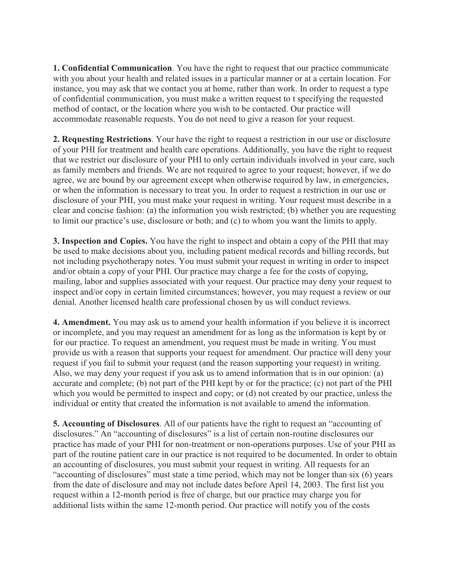**1. Confidential Communication**. You have the right to request that our practice communicate with you about your health and related issues in a particular manner or at a certain location. For instance, you may ask that we contact you at home, rather than work. In order to request a type of confidential communication, you must make a written request to t specifying the requested method of contact, or the location where you wish to be contacted. Our practice will accommodate reasonable requests. You do not need to give a reason for your request.

**2. Requesting Restrictions**. Your have the right to request a restriction in our use or disclosure of your PHI for treatment and health care operations. Additionally, you have the right to request that we restrict our disclosure of your PHI to only certain individuals involved in your care, such as family members and friends. We are not required to agree to your request; however, if we do agree, we are bound by our agreement except when otherwise required by law, in emergencies, or when the information is necessary to treat you. In order to request a restriction in our use or disclosure of your PHI, you must make your request in writing. Your request must describe in a clear and concise fashion: (a) the information you wish restricted; (b) whether you are requesting to limit our practice's use, disclosure or both; and (c) to whom you want the limits to apply.

**3. Inspection and Copies.** You have the right to inspect and obtain a copy of the PHI that may be used to make decisions about you, including patient medical records and billing records, but not including psychotherapy notes. You must submit your request in writing in order to inspect and/or obtain a copy of your PHI. Our practice may charge a fee for the costs of copying, mailing, labor and supplies associated with your request. Our practice may deny your request to inspect and/or copy in certain limited circumstances; however, you may request a review or our denial. Another licensed health care professional chosen by us will conduct reviews.

**4. Amendment.** You may ask us to amend your health information if you believe it is incorrect or incomplete, and you may request an amendment for as long as the information is kept by or for our practice. To request an amendment, you request must be made in writing. You must provide us with a reason that supports your request for amendment. Our practice will deny your request if you fail to submit your request (and the reason supporting your request) in writing. Also, we may deny your request if you ask us to amend information that is in our opinion: (a) accurate and complete; (b) not part of the PHI kept by or for the practice; (c) not part of the PHI which you would be permitted to inspect and copy; or (d) not created by our practice, unless the individual or entity that created the information is not available to amend the information.

**5. Accounting of Disclosures**. All of our patients have the right to request an "accounting of disclosures." An "accounting of disclosures" is a list of certain non-routine disclosures our practice has made of your PHI for non-treatment or non-operations purposes. Use of your PHI as part of the routine patient care in our practice is not required to be documented. In order to obtain an accounting of disclosures, you must submit your request in writing. All requests for an "accounting of disclosures" must state a time period, which may not be longer than six (6) years from the date of disclosure and may not include dates before April 14, 2003. The first list you request within a 12-month period is free of charge, but our practice may charge you for additional lists within the same 12-month period. Our practice will notify you of the costs